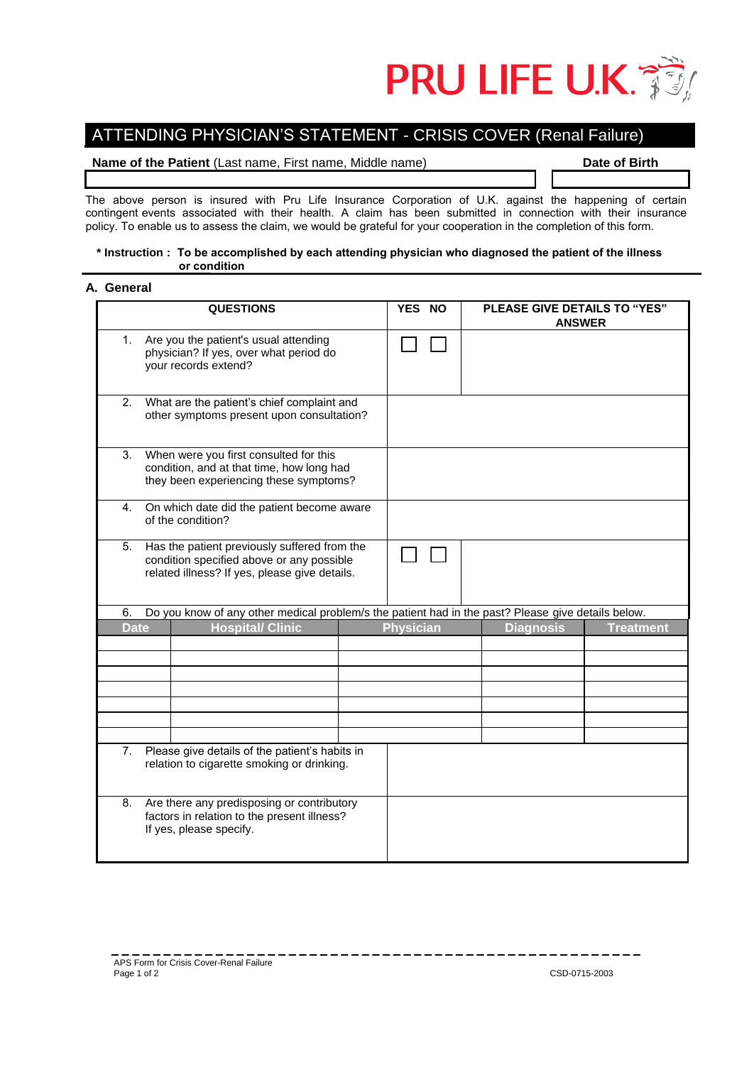

# ATTENDING PHYSICIAN'S STATEMENT - CRISIS COVER (Renal Failure)

## **Name of the Patient (Last name, First name, Middle name) Date of Birth**

The above person is insured with Pru Life Insurance Corporation of U.K. against the happening of certain contingent events associated with their health. A claim has been submitted in connection with their insurance policy. To enable us to assess the claim, we would be grateful for your cooperation in the completion of this form.

## **\* Instruction : To be accomplished by each attending physician who diagnosed the patient of the illness or condition**

## **A. General**

| <b>QUESTIONS</b>                                                                                                                                 | <b>PLEASE GIVE DETAILS TO "YES"</b><br>YES NO<br><b>ANSWER</b>                                     |
|--------------------------------------------------------------------------------------------------------------------------------------------------|----------------------------------------------------------------------------------------------------|
| Are you the patient's usual attending<br>1.<br>physician? If yes, over what period do<br>your records extend?                                    |                                                                                                    |
| What are the patient's chief complaint and<br>2.<br>other symptoms present upon consultation?                                                    |                                                                                                    |
| When were you first consulted for this<br>3.<br>condition, and at that time, how long had<br>they been experiencing these symptoms?              |                                                                                                    |
| On which date did the patient become aware<br>4.<br>of the condition?                                                                            |                                                                                                    |
| 5.<br>Has the patient previously suffered from the<br>condition specified above or any possible<br>related illness? If yes, please give details. |                                                                                                    |
| 6.                                                                                                                                               | Do you know of any other medical problem/s the patient had in the past? Please give details below. |
| <b>Hospital/ Clinic</b><br><b>Date</b>                                                                                                           | <b>Physician</b><br><b>Diagnosis</b><br><b>Treatment</b>                                           |
|                                                                                                                                                  |                                                                                                    |
|                                                                                                                                                  |                                                                                                    |
|                                                                                                                                                  |                                                                                                    |
|                                                                                                                                                  |                                                                                                    |
|                                                                                                                                                  |                                                                                                    |
|                                                                                                                                                  |                                                                                                    |
| Please give details of the patient's habits in<br>7.<br>relation to cigarette smoking or drinking.                                               |                                                                                                    |
| Are there any predisposing or contributory<br>8.<br>factors in relation to the present illness?<br>If yes, please specify.                       |                                                                                                    |